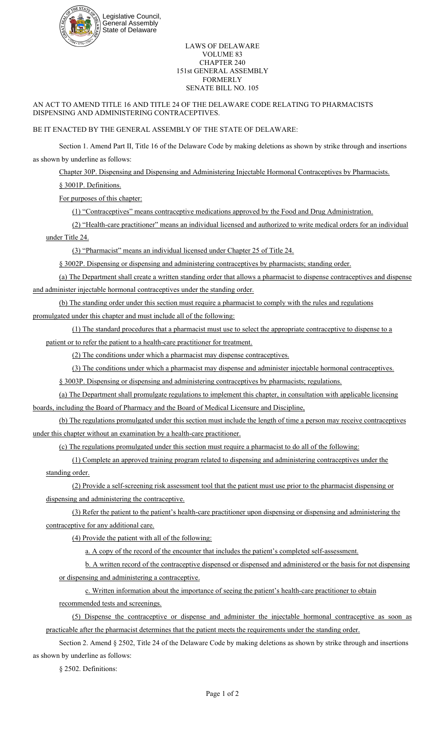

## LAWS OF DELAWARE VOLUME 83 CHAPTER 240 151st GENERAL ASSEMBLY FORMERLY SENATE BILL NO. 105

## AN ACT TO AMEND TITLE 16 AND TITLE 24 OF THE DELAWARE CODE RELATING TO PHARMACISTS DISPENSING AND ADMINISTERING CONTRACEPTIVES.

## BE IT ENACTED BY THE GENERAL ASSEMBLY OF THE STATE OF DELAWARE:

Section 1. Amend Part II, Title 16 of the Delaware Code by making deletions as shown by strike through and insertions as shown by underline as follows:

Chapter 30P. Dispensing and Dispensing and Administering Injectable Hormonal Contraceptives by Pharmacists.

§ 3001P. Definitions.

For purposes of this chapter:

(1) "Contraceptives" means contraceptive medications approved by the Food and Drug Administration.

(2) "Health-care practitioner" means an individual licensed and authorized to write medical orders for an individual under Title 24.

(3) "Pharmacist" means an individual licensed under Chapter 25 of Title 24.

§ 3002P. Dispensing or dispensing and administering contraceptives by pharmacists; standing order.

(a) The Department shall create a written standing order that allows a pharmacist to dispense contraceptives and dispense and administer injectable hormonal contraceptives under the standing order.

(b) The standing order under this section must require a pharmacist to comply with the rules and regulations

promulgated under this chapter and must include all of the following:

(1) The standard procedures that a pharmacist must use to select the appropriate contraceptive to dispense to a patient or to refer the patient to a health-care practitioner for treatment.

(2) The conditions under which a pharmacist may dispense contraceptives.

(3) The conditions under which a pharmacist may dispense and administer injectable hormonal contraceptives.

§ 3003P. Dispensing or dispensing and administering contraceptives by pharmacists; regulations.

(a) The Department shall promulgate regulations to implement this chapter, in consultation with applicable licensing boards, including the Board of Pharmacy and the Board of Medical Licensure and Discipline,

(b) The regulations promulgated under this section must include the length of time a person may receive contraceptives under this chapter without an examination by a health-care practitioner.

(c) The regulations promulgated under this section must require a pharmacist to do all of the following:

(1) Complete an approved training program related to dispensing and administering contraceptives under the standing order.

(2) Provide a self-screening risk assessment tool that the patient must use prior to the pharmacist dispensing or dispensing and administering the contraceptive.

(3) Refer the patient to the patient's health-care practitioner upon dispensing or dispensing and administering the contraceptive for any additional care.

(4) Provide the patient with all of the following:

a. A copy of the record of the encounter that includes the patient's completed self-assessment.

b. A written record of the contraceptive dispensed or dispensed and administered or the basis for not dispensing or dispensing and administering a contraceptive.

c. Written information about the importance of seeing the patient's health-care practitioner to obtain recommended tests and screenings.

(5) Dispense the contraceptive or dispense and administer the injectable hormonal contraceptive as soon as practicable after the pharmacist determines that the patient meets the requirements under the standing order.

Section 2. Amend § 2502, Title 24 of the Delaware Code by making deletions as shown by strike through and insertions as shown by underline as follows:

§ 2502. Definitions: